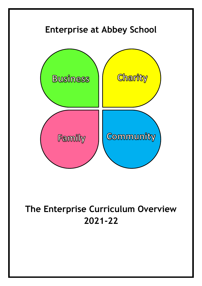

# **The Enterprise Curriculum Overview 2021-22**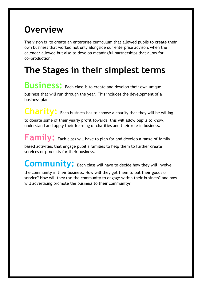### **Overview**

The vision is to create an enterprise curriculum that allowed pupils to create their own business that worked not only alongside our enterprise advisors when the calendar allowed but also to develop meaningful partnerships that allow for co=production.

## **The Stages in their simplest terms**

**Business:** Each class is to create and develop their own unique business that will run through the year. This includes the development of a business plan

Charity: Each business has to choose a charity that they will be willing to donate some of their yearly profit towards, this will allow pupils to know, understand and apply their learning of charities and their role in business.

**Family:** Each class will have to plan for and develop a range of family based activities that engage pupil's families to help them to further create services or products for their business.

Community: Each class will have to decide how they will involve

the community in their business. How will they get them to but their goods or service? How will they use the community to engage within their business? and how will advertising promote the business to their community?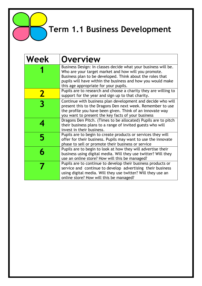**Term 1.1 Business Development**

| <b>Week</b>  | <b>Overview</b>                                                                                                                                                                                                                                                                             |
|--------------|---------------------------------------------------------------------------------------------------------------------------------------------------------------------------------------------------------------------------------------------------------------------------------------------|
|              | Business Design: In classes decide what your business will be.<br>Who are your target market and how will you promote.<br>Business plan to be developed. Think about the roles that<br>pupils will have within the business and how you would make<br>this age appropriate for your pupils. |
| $\mathbf{Z}$ | Pupils are to research and choose a charity they are willing to<br>support for the year and sign up to that charity.                                                                                                                                                                        |
|              | Continue with business plan development and decide who will<br>present this to the Dragons Den next week. Remember to use<br>the profile you have been given. Think of an innovate way<br>you want to present the key facts of your business                                                |
|              | Dragons Den Pitch. (Times to be allocated) Pupils are to pitch<br>their business plans to a range of invited guests who will<br>invest in their business.                                                                                                                                   |
|              | Pupils are to begin to create products or services they will<br>offer for their business. Pupils may want to use the innovate<br>phase to sell or promote their business or service                                                                                                         |
|              | Pupils are to begin to look at how they will advertise their<br>business using digital media. Will they use twitter? Will they<br>use an online store? How will this be managed?                                                                                                            |
|              | Pupils are to continue to develop their business products or<br>service and continue to develop advertising their business<br>using digital media. Will they use twitter? Will they use an<br>online store? How will this be managed?                                                       |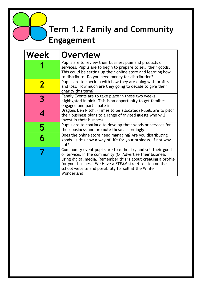### **Term 1.2 Family and Community Engagement**

| Week | <b>Overview</b>                                                                                                                                                                                                                                                                                                                |
|------|--------------------------------------------------------------------------------------------------------------------------------------------------------------------------------------------------------------------------------------------------------------------------------------------------------------------------------|
|      | Pupils are to review their business plan and products or<br>services. Pupils are to begin to prepare to sell their goods.<br>This could be setting up their online store and learning how<br>to distribute. Do you need money for distribution?                                                                                |
|      | Pupils are to check in with how they are doing with profits<br>and loss. How much are they going to decide to give their<br>charity this term?                                                                                                                                                                                 |
|      | Family Events are to take place in these two weeks<br>highlighted in pink. This is an opportunity to get families<br>engaged and participate in                                                                                                                                                                                |
|      | Dragons Den Pitch. (Times to be allocated) Pupils are to pitch<br>their business plans to a range of invited guests who will<br>invest in their business.                                                                                                                                                                      |
| 5    | Pupils are to continue to develop their goods or services for<br>their business and promote these accordingly.                                                                                                                                                                                                                 |
|      | Does the online store need managing? Are you distributing<br>goods. Is this now a way of life for your business. If not why<br>not?                                                                                                                                                                                            |
|      | Community event pupils are to either try and sell their goods<br>or services in the community (Or Advertise their business<br>using digital media. Remember this is about creating a profile<br>for your business. We Have a STEAM street section on the<br>school website and possibility to sell at the Winter<br>Wonderland |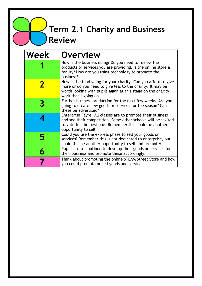**Term 2.1 Charity and Business Review** 

| Week | <b>Overview</b>                                                                                                                                                                                                      |
|------|----------------------------------------------------------------------------------------------------------------------------------------------------------------------------------------------------------------------|
|      | How is the business doing? Do you need to review the<br>products or services you are providing. Is the online store a<br>reality? How are you using technology to promote the<br>business?                           |
|      | How is the fund going for your charity. Can you afford to give<br>more or do you need to give less to the charity. It may be<br>worth looking with pupils again at this stage on the charity<br>work that's going on |
|      | Further business production for the next few weeks. Are you<br>going to create new goods or services for the season? Can<br>these be advertised?                                                                     |
|      | Enterprise Fayre. All classes are to promote their business<br>and see their competition. Some other schools will be invited<br>to vote for the best one. Remember this could be another<br>opportunity to sell      |
|      | Could you use the express phase to sell your goods or<br>services? Remember this is not dedicated to enterprise, but<br>could this be another opportunity to sell and promote?                                       |
|      | Pupils are to continue to develop their goods or services for<br>their business and promote these accordingly.                                                                                                       |
|      | Think about promoting the online STEAM Street Store and how<br>you could promote or sell goods and services                                                                                                          |